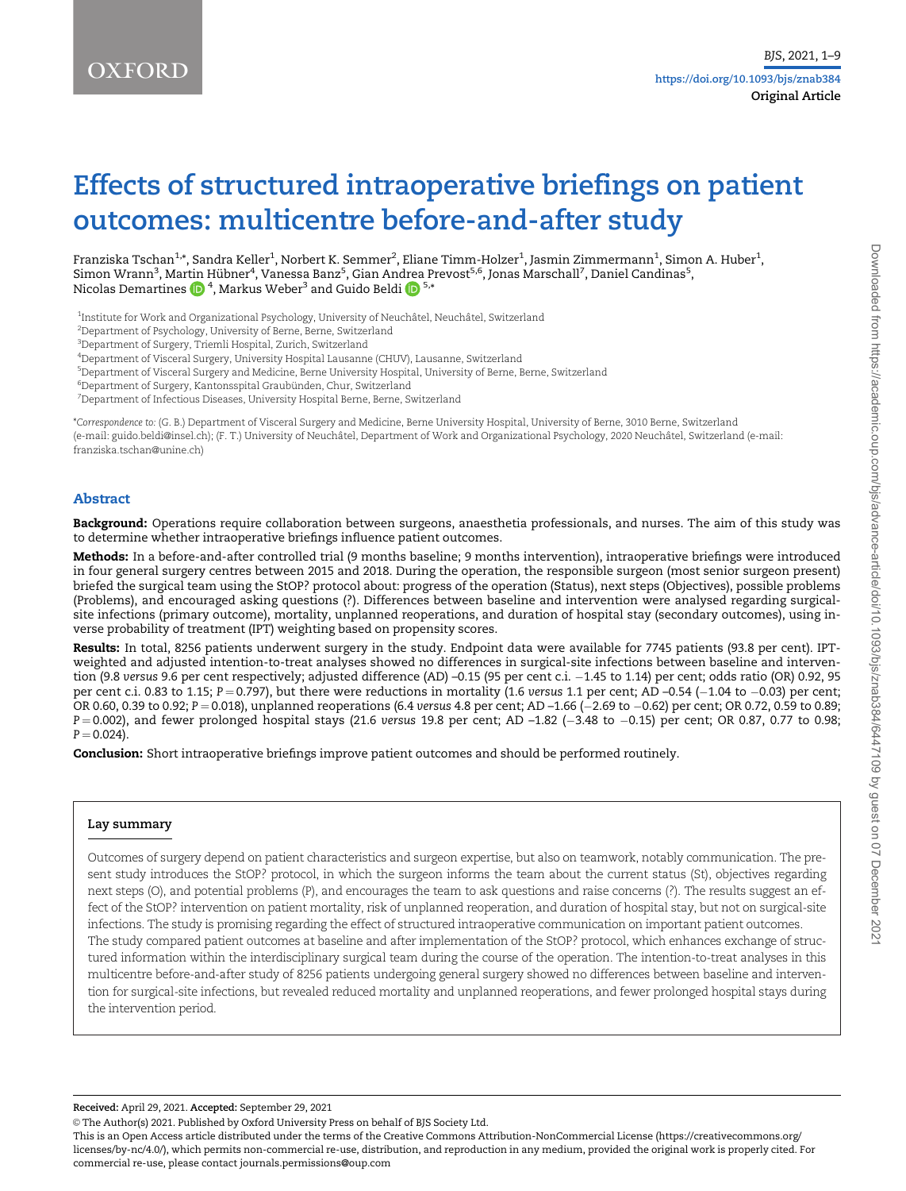# Effects of structured intraoperative briefings on patient outcomes: multicentre before-and-after study

Franziska Tschan $^{1,*}$ , Sandra Keller $^1$ , Norbert K. Semmer $^2$ , Eliane Timm-Holzer $^1$ , Jasmin Zimmermann $^1$ , Simon A. Huber $^1$ , Simon Wrann<sup>3</sup>, Mar[tin](https://orcid.org/0000-0002-1530-3114) Hübner<sup>4</sup>, Vanessa Banz<sup>5</sup>, Gian An[drea](https://orcid.org/0000-0002-9914-3807) Prevost<sup>5,6</sup>, Jonas Marschall<sup>7</sup>, Daniel Candinas<sup>5</sup>, Nicolas Demartines  $\bigoplus {}^4,$  Markus Weber $^3$  and Guido Beldi  $\bigoplus {}^{5,*}$ 

<sup>1</sup>Institute for Work and Organizational Psychology, University of Neuchâtel, Neuchâtel, Switzerland

2 Department of Psychology, University of Berne, Berne, Switzerland

3 Department of Surgery, Triemli Hospital, Zurich, Switzerland

4 Department of Visceral Surgery, University Hospital Lausanne (CHUV), Lausanne, Switzerland

5 Department of Visceral Surgery and Medicine, Berne University Hospital, University of Berne, Berne, Switzerland

 $\mathrm{^{6}D}$ epartment of Surgery, Kantonsspital Graubünden, Chur, Switzerland

7 Department of Infectious Diseases, University Hospital Berne, Berne, Switzerland

\*Correspondence to: (G. B.) Department of Visceral Surgery and Medicine, Berne University Hospital, University of Berne, 3010 Berne, Switzerland (e-mail: guido.beldi@insel.ch); (F. T.) University of Neuchâtel, Department of Work and Organizational Psychology, 2020 Neuchâtel, Switzerland (e-mail: franziska.tschan@unine.ch)

#### Abstract

Background: Operations require collaboration between surgeons, anaesthetia professionals, and nurses. The aim of this study was to determine whether intraoperative briefings influence patient outcomes.

Methods: In a before-and-after controlled trial (9 months baseline; 9 months intervention), intraoperative briefings were introduced in four general surgery centres between 2015 and 2018. During the operation, the responsible surgeon (most senior surgeon present) briefed the surgical team using the StOP? protocol about: progress of the operation (Status), next steps (Objectives), possible problems (Problems), and encouraged asking questions (?). Differences between baseline and intervention were analysed regarding surgicalsite infections (primary outcome), mortality, unplanned reoperations, and duration of hospital stay (secondary outcomes), using inverse probability of treatment (IPT) weighting based on propensity scores.

Results: In total, 8256 patients underwent surgery in the study. Endpoint data were available for 7745 patients (93.8 per cent). IPTweighted and adjusted intention-to-treat analyses showed no differences in surgical-site infections between baseline and intervention (9.8 versus 9.6 per cent respectively; adjusted difference (AD) –0.15 (95 per cent c.i. -1.45 to 1.14) per cent; odds ratio (OR) 0.92, 95 per cent c.i. 0.83 to 1.15; P=0.797), but there were reductions in mortality (1.6 versus 1.1 per cent; AD –0.54 (–1.04 to –0.03) per cent; OR 0.60, 0.39 to 0.92; P = 0.018), unplanned reoperations (6.4 versus 4.8 per cent; AD –1.66 (–2.69 to –0.62) per cent; OR 0.72, 0.59 to 0.89; P=0.002), and fewer prolonged hospital stays (21.6 versus 19.8 per cent; AD –1.82 (–3.48 to –0.15) per cent; OR 0.87, 0.77 to 0.98;  $P = 0.024$ ).

Conclusion: Short intraoperative briefings improve patient outcomes and should be performed routinely.

#### Lay summary

Outcomes of surgery depend on patient characteristics and surgeon expertise, but also on teamwork, notably communication. The present study introduces the StOP? protocol, in which the surgeon informs the team about the current status (St), objectives regarding next steps (O), and potential problems (P), and encourages the team to ask questions and raise concerns (?). The results suggest an effect of the StOP? intervention on patient mortality, risk of unplanned reoperation, and duration of hospital stay, but not on surgical-site infections. The study is promising regarding the effect of structured intraoperative communication on important patient outcomes. The study compared patient outcomes at baseline and after implementation of the StOP? protocol, which enhances exchange of structured information within the interdisciplinary surgical team during the course of the operation. The intention-to-treat analyses in this multicentre before-and-after study of 8256 patients undergoing general surgery showed no differences between baseline and intervention for surgical-site infections, but revealed reduced mortality and unplanned reoperations, and fewer prolonged hospital stays during the intervention period.

Received: April 29, 2021. Accepted: September 29, 2021

© The Author(s) 2021. Published by Oxford University Press on behalf of BJS Society Ltd.

This is an Open Access article distributed under the terms of the Creative Commons Attribution-NonCommercial License (https://creativecommons.org/ licenses/by-nc/4.0/), which permits non-commercial re-use, distribution, and reproduction in any medium, provided the original work is properly cited. For commercial re-use, please contact journals.permissions@oup.com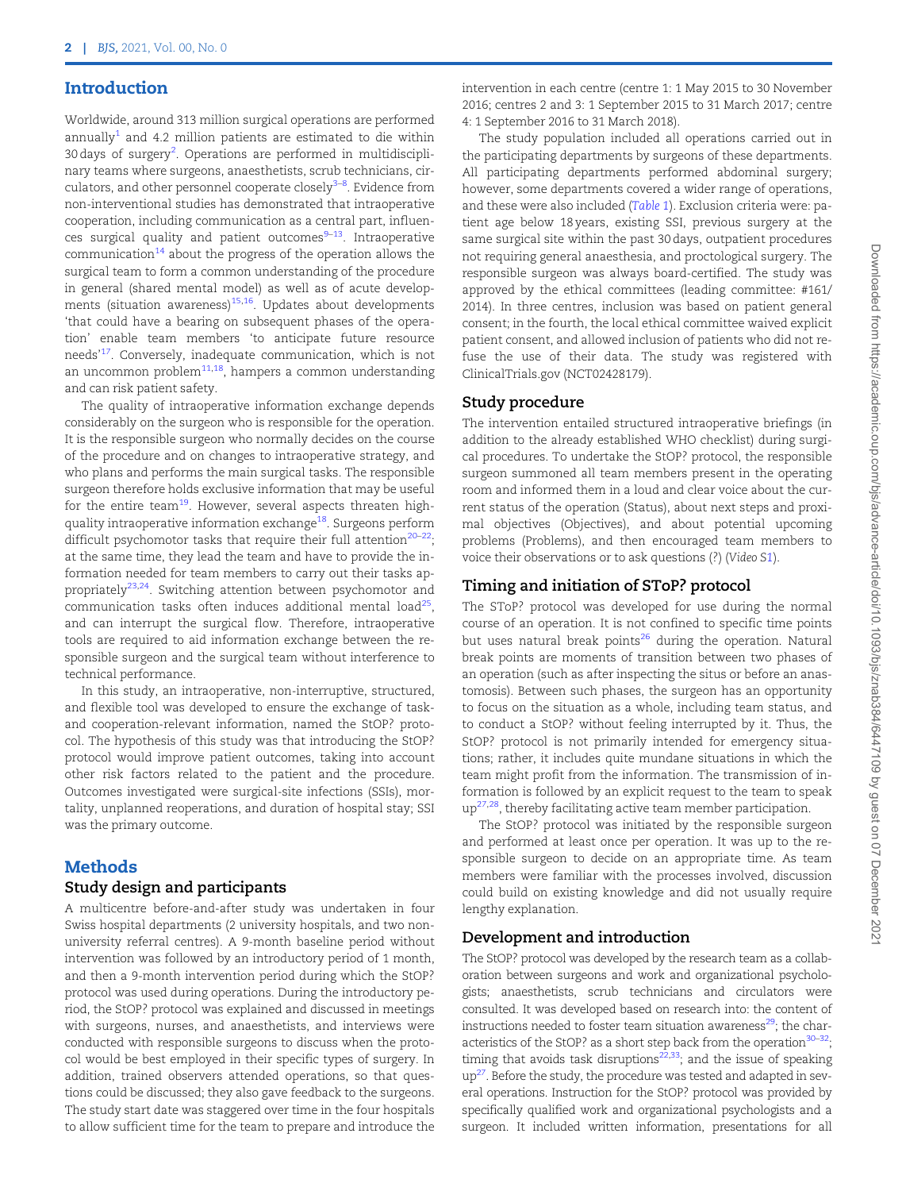## <span id="page-1-0"></span>Introduction

Worldwide, around 313 million surgical operations are performed annually<sup>[1](#page-6-0)</sup> and 4.2 million patients are estimated to die within 30 days of surgery<sup>[2](#page-6-0)</sup>. Operations are performed in multidisciplinary teams where surgeons, anaesthetists, scrub technicians, cir-culators, and other personnel cooperate closely<sup>[3](#page-6-0)–[8](#page-6-0)</sup>. Evidence from non-interventional studies has demonstrated that intraoperative cooperation, including communication as a central part, influences surgical quality and patient outcomes $9-13$  $9-13$  $9-13$ . Intraoperative communication<sup>[14](#page-6-0)</sup> about the progress of the operation allows the surgical team to form a common understanding of the procedure in general (shared mental model) as well as of acute developments (situation awareness) $15,16$ . Updates about developments 'that could have a bearing on subsequent phases of the operation' enable team members 'to anticipate future resource needs'[17.](#page-6-0) Conversely, inadequate communication, which is not an uncommon problem $11,18$ , hampers a common understanding and can risk patient safety.

The quality of intraoperative information exchange depends considerably on the surgeon who is responsible for the operation. It is the responsible surgeon who normally decides on the course of the procedure and on changes to intraoperative strategy, and who plans and performs the main surgical tasks. The responsible surgeon therefore holds exclusive information that may be useful for the entire team<sup>[19](#page-6-0)</sup>. However, several aspects threaten highquality intraoperative information exchange<sup>18</sup>. Surgeons perform difficult psychomotor tasks that require their full attention $20-22$ ; at the same time, they lead the team and have to provide the information needed for team members to carry out their tasks ap-propriately<sup>[23](#page-7-0),[24](#page-7-0)</sup>. Switching attention between psychomotor and communication tasks often induces additional mental  $load^{25}$ , and can interrupt the surgical flow. Therefore, intraoperative tools are required to aid information exchange between the responsible surgeon and the surgical team without interference to technical performance.

In this study, an intraoperative, non-interruptive, structured, and flexible tool was developed to ensure the exchange of taskand cooperation-relevant information, named the StOP? protocol. The hypothesis of this study was that introducing the StOP? protocol would improve patient outcomes, taking into account other risk factors related to the patient and the procedure. Outcomes investigated were surgical-site infections (SSIs), mortality, unplanned reoperations, and duration of hospital stay; SSI was the primary outcome.

# Methods

#### Study design and participants

A multicentre before-and-after study was undertaken in four Swiss hospital departments (2 university hospitals, and two nonuniversity referral centres). A 9-month baseline period without intervention was followed by an introductory period of 1 month, and then a 9-month intervention period during which the StOP? protocol was used during operations. During the introductory period, the StOP? protocol was explained and discussed in meetings with surgeons, nurses, and anaesthetists, and interviews were conducted with responsible surgeons to discuss when the protocol would be best employed in their specific types of surgery. In addition, trained observers attended operations, so that questions could be discussed; they also gave feedback to the surgeons. The study start date was staggered over time in the four hospitals to allow sufficient time for the team to prepare and introduce the intervention in each centre (centre 1: 1 May 2015 to 30 November 2016; centres 2 and 3: 1 September 2015 to 31 March 2017; centre 4: 1 September 2016 to 31 March 2018).

The study population included all operations carried out in the participating departments by surgeons of these departments. All participating departments performed abdominal surgery; however, some departments covered a wider range of operations, and these were also included ([Table 1](#page-2-0)). Exclusion criteria were: patient age below 18 years, existing SSI, previous surgery at the same surgical site within the past 30 days, outpatient procedures not requiring general anaesthesia, and proctological surgery. The responsible surgeon was always board-certified. The study was approved by the ethical committees (leading committee: #161/ 2014). In three centres, inclusion was based on patient general consent; in the fourth, the local ethical committee waived explicit patient consent, and allowed inclusion of patients who did not refuse the use of their data. The study was registered with ClinicalTrials.gov (NCT02428179).

## Study procedure

The intervention entailed structured intraoperative briefings (in addition to the already established WHO checklist) during surgical procedures. To undertake the StOP? protocol, the responsible surgeon summoned all team members present in the operating room and informed them in a loud and clear voice about the current status of the operation (Status), about next steps and proximal objectives (Objectives), and about potential upcoming problems (Problems), and then encouraged team members to voice their observations or to ask questions (?) (Video S[1](#page-6-0)).

## Timing and initiation of SToP? protocol

The SToP? protocol was developed for use during the normal course of an operation. It is not confined to specific time points but uses natural break points<sup>[26](#page-7-0)</sup> during the operation. Natural break points are moments of transition between two phases of an operation (such as after inspecting the situs or before an anastomosis). Between such phases, the surgeon has an opportunity to focus on the situation as a whole, including team status, and to conduct a StOP? without feeling interrupted by it. Thus, the StOP? protocol is not primarily intended for emergency situations; rather, it includes quite mundane situations in which the team might profit from the information. The transmission of information is followed by an explicit request to the team to speak  $up^{27,28}$  $up^{27,28}$  $up^{27,28}$ , thereby facilitating active team member participation.

The StOP? protocol was initiated by the responsible surgeon and performed at least once per operation. It was up to the responsible surgeon to decide on an appropriate time. As team members were familiar with the processes involved, discussion could build on existing knowledge and did not usually require lengthy explanation.

## Development and introduction

The StOP? protocol was developed by the research team as a collaboration between surgeons and work and organizational psychologists; anaesthetists, scrub technicians and circulators were consulted. It was developed based on research into: the content of instructions needed to foster team situation awareness $^{29}$ ; the characteristics of the StOP? as a short step back from the operation $30-32$ ; timing that avoids task disruptions<sup>22,33</sup>; and the issue of speaking  $up^{27}$ . Before the study, the procedure was tested and adapted in several operations. Instruction for the StOP? protocol was provided by specifically qualified work and organizational psychologists and a surgeon. It included written information, presentations for all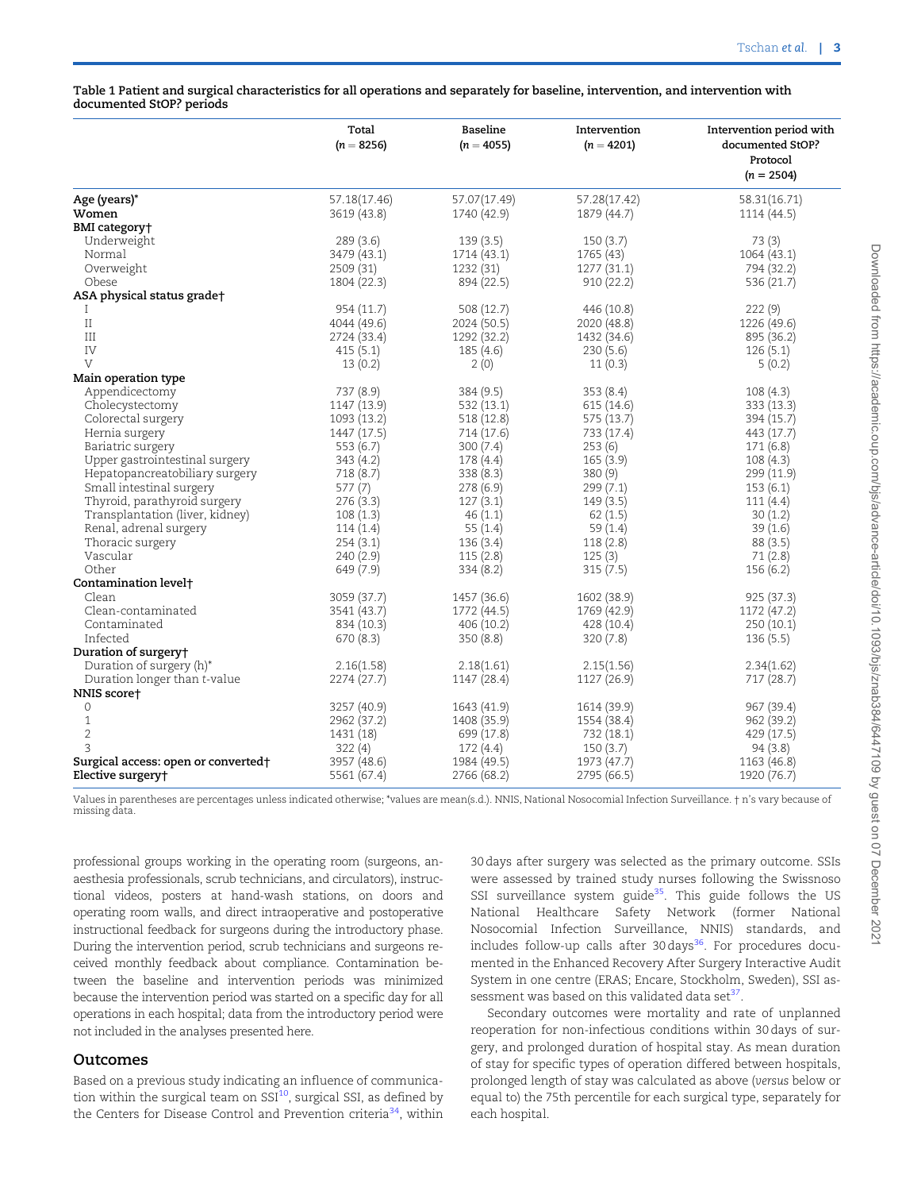<span id="page-2-0"></span>Table 1 Patient and surgical characteristics for all operations and separately for baseline, intervention, and intervention with documented StOP? periods

|                                     | Total        | Baseline     | Intervention | Intervention period with |
|-------------------------------------|--------------|--------------|--------------|--------------------------|
|                                     | $(n = 8256)$ | $(n = 4055)$ | $(n = 4201)$ | documented StOP?         |
|                                     |              |              |              | Protocol                 |
|                                     |              |              |              | $(n = 2504)$             |
| Age (years)*                        | 57.18(17.46) | 57.07(17.49) | 57.28(17.42) | 58.31(16.71)             |
| Women                               | 3619 (43.8)  | 1740 (42.9)  | 1879 (44.7)  | 1114 (44.5)              |
| BMI category†                       |              |              |              |                          |
| Underweight                         | 289(3.6)     | 139(3.5)     | 150(3.7)     | 73(3)                    |
| Normal                              | 3479 (43.1)  | 1714 (43.1)  | 1765 (43)    | 1064(43.1)               |
| Overweight                          | 2509 (31)    | 1232 (31)    | 1277 (31.1)  | 794 (32.2)               |
| Obese                               | 1804 (22.3)  | 894 (22.5)   | 910(22.2)    | 536 (21.7)               |
| ASA physical status grade†          |              |              |              |                          |
| Ι                                   | 954 (11.7)   | 508 (12.7)   | 446 (10.8)   | 222 (9)                  |
| $\rm II$                            | 4044 (49.6)  | 2024 (50.5)  | 2020 (48.8)  | 1226 (49.6)              |
| Ш                                   | 2724 (33.4)  | 1292 (32.2)  | 1432 (34.6)  | 895 (36.2)               |
| IV                                  | 415(5.1)     | 185(4.6)     | 230(5.6)     | 126(5.1)                 |
| V                                   | 13(0.2)      | 2(0)         | 11(0.3)      | 5(0.2)                   |
| Main operation type                 |              |              |              |                          |
| Appendicectomy                      | 737 (8.9)    | 384 (9.5)    | 353(8.4)     | 108(4.3)                 |
| Cholecystectomy                     | 1147 (13.9)  | 532 (13.1)   | 615 (14.6)   | 333 (13.3)               |
| Colorectal surgery                  | 1093 (13.2)  | 518 (12.8)   | 575 (13.7)   | 394 (15.7)               |
| Hernia surgery                      | 1447 (17.5)  | 714 (17.6)   | 733 (17.4)   | 443 (17.7)               |
| Bariatric surgery                   | 553 (6.7)    | 300(7.4)     | 253(6)       | 171(6.8)                 |
| Upper gastrointestinal surgery      | 343(4.2)     | 178 (4.4)    | 165(3.9)     | 108(4.3)                 |
| Hepatopancreatobiliary surgery      | 718 (8.7)    | 338 (8.3)    | 380(9)       | 299 (11.9)               |
| Small intestinal surgery            | 577 (7)      | 278 (6.9)    | 299(7.1)     | 153(6.1)                 |
| Thyroid, parathyroid surgery        | 276(3.3)     | 127(3.1)     | 149(3.5)     | 111(4.4)                 |
| Transplantation (liver, kidney)     | 108(1.3)     | 46(1.1)      | 62(1.5)      | 30(1.2)                  |
| Renal, adrenal surgery              | 114(1.4)     | 55(1.4)      | 59(1.4)      | 39(1.6)                  |
| Thoracic surgery                    | 254(3.1)     | 136(3.4)     | 118(2.8)     | 88(3.5)                  |
| Vascular                            | 240 (2.9)    | 115(2.8)     | 125(3)       | 71(2.8)                  |
| Other                               | 649 (7.9)    | 334(8.2)     | 315(7.5)     | 156(6.2)                 |
| Contamination level <sup>+</sup>    |              |              |              |                          |
| Clean                               | 3059 (37.7)  | 1457 (36.6)  | 1602 (38.9)  | 925 (37.3)               |
| Clean-contaminated                  | 3541 (43.7)  | 1772 (44.5)  | 1769 (42.9)  | 1172 (47.2)              |
| Contaminated                        | 834 (10.3)   | 406 (10.2)   | 428 (10.4)   | 250 (10.1)               |
| Infected                            | 670(8.3)     | 350(8.8)     | 320(7.8)     | 136(5.5)                 |
| Duration of surgery†                |              |              |              |                          |
| Duration of surgery (h)*            | 2.16(1.58)   | 2.18(1.61)   | 2.15(1.56)   | 2.34(1.62)               |
| Duration longer than t-value        | 2274 (27.7)  | 1147 (28.4)  | 1127 (26.9)  | 717 (28.7)               |
| NNIS score†                         |              |              |              |                          |
| $\circ$                             | 3257 (40.9)  | 1643 (41.9)  | 1614 (39.9)  | 967 (39.4)               |
| $\mathbf{1}$                        | 2962 (37.2)  | 1408 (35.9)  | 1554 (38.4)  | 962 (39.2)               |
| $\overline{2}$                      | 1431 (18)    | 699 (17.8)   | 732 (18.1)   | 429 (17.5)               |
| 3                                   | 322(4)       | 172(4.4)     | 150(3.7)     | 94(3.8)                  |
| Surgical access: open or converted† | 3957 (48.6)  | 1984 (49.5)  | 1973 (47.7)  | 1163 (46.8)              |
| Elective surgery+                   | 5561 (67.4)  | 2766 (68.2)  | 2795 (66.5)  | 1920 (76.7)              |

Values in parentheses are percentages unless indicated otherwise; \*values are mean(s.d.). NNIS, National Nosocomial Infection Surveillance. † n's vary because of missing data.

professional groups working in the operating room (surgeons, anaesthesia professionals, scrub technicians, and circulators), instructional videos, posters at hand-wash stations, on doors and operating room walls, and direct intraoperative and postoperative instructional feedback for surgeons during the introductory phase. During the intervention period, scrub technicians and surgeons received monthly feedback about compliance. Contamination between the baseline and intervention periods was minimized because the intervention period was started on a specific day for all operations in each hospital; data from the introductory period were not included in the analyses presented here.

#### Outcomes

Based on a previous study indicating an influence of communication within the surgical team on  $SSI^{10}$ , surgical SSI, as defined by the Centers for Disease Control and Prevention criteria<sup>34</sup>, within 30 days after surgery was selected as the primary outcome. SSIs were assessed by trained study nurses following the Swissnoso SSI surveillance system guide $35$ . This guide follows the US National Healthcare Safety Network (former National Nosocomial Infection Surveillance, NNIS) standards, and includes follow-up calls after 30 days<sup>36</sup>. For procedures documented in the Enhanced Recovery After Surgery Interactive Audit System in one centre (ERAS; Encare, Stockholm, Sweden), SSI assessment was based on this validated data set<sup>37</sup>.

Secondary outcomes were mortality and rate of unplanned reoperation for non-infectious conditions within 30 days of surgery, and prolonged duration of hospital stay. As mean duration of stay for specific types of operation differed between hospitals, prolonged length of stay was calculated as above (versus below or equal to) the 75th percentile for each surgical type, separately for each hospital.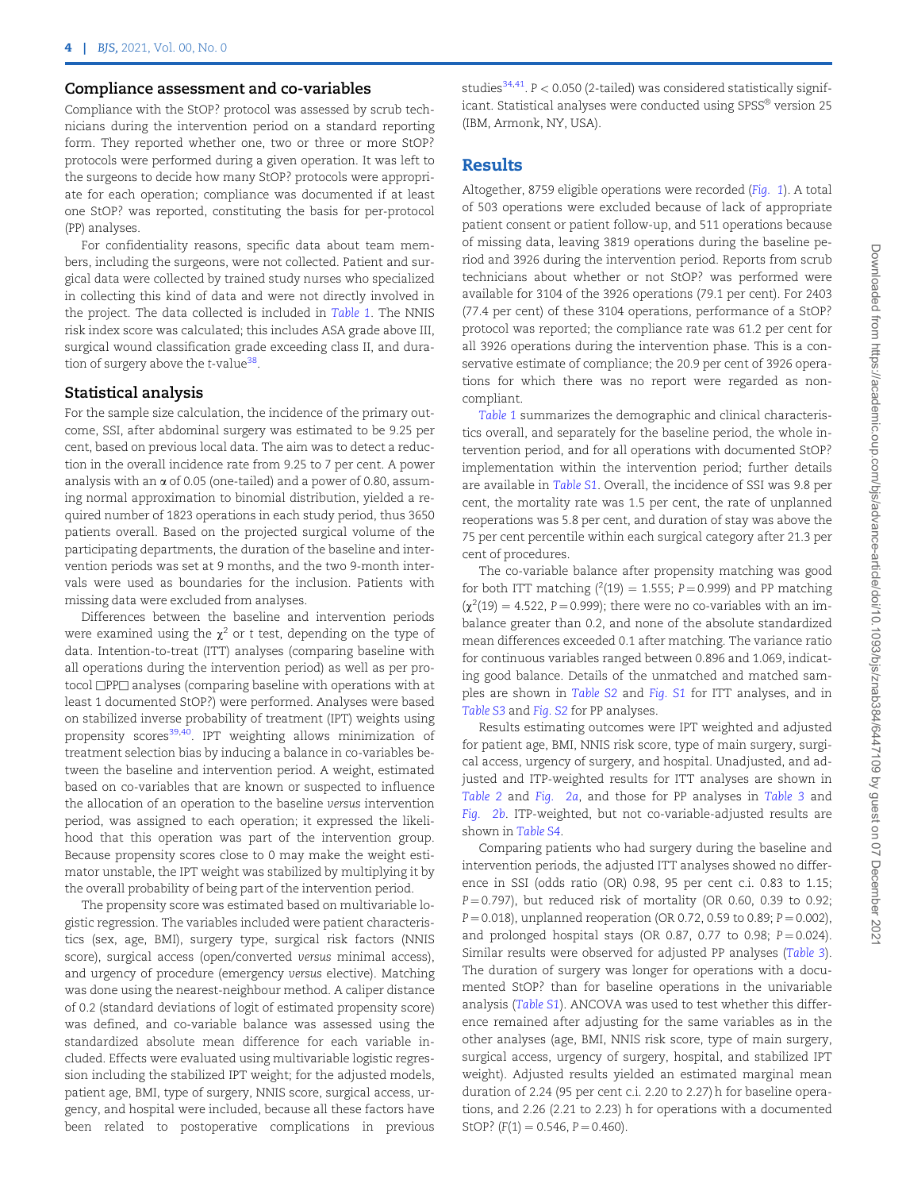#### <span id="page-3-0"></span>Compliance assessment and co-variables

Compliance with the StOP? protocol was assessed by scrub technicians during the intervention period on a standard reporting form. They reported whether one, two or three or more StOP? protocols were performed during a given operation. It was left to the surgeons to decide how many StOP? protocols were appropriate for each operation; compliance was documented if at least one StOP? was reported, constituting the basis for per-protocol (PP) analyses.

For confidentiality reasons, specific data about team members, including the surgeons, were not collected. Patient and surgical data were collected by trained study nurses who specialized in collecting this kind of data and were not directly involved in the project. The data collected is included in [Table 1](#page-2-0). The NNIS risk index score was calculated; this includes ASA grade above III, surgical wound classification grade exceeding class II, and duration of surgery above the  $t$ -value<sup>[38](#page-7-0)</sup>.

#### Statistical analysis

For the sample size calculation, the incidence of the primary outcome, SSI, after abdominal surgery was estimated to be 9.25 per cent, based on previous local data. The aim was to detect a reduction in the overall incidence rate from 9.25 to 7 per cent. A power analysis with an  $\alpha$  of 0.05 (one-tailed) and a power of 0.80, assuming normal approximation to binomial distribution, yielded a required number of 1823 operations in each study period, thus 3650 patients overall. Based on the projected surgical volume of the participating departments, the duration of the baseline and intervention periods was set at 9 months, and the two 9-month intervals were used as boundaries for the inclusion. Patients with missing data were excluded from analyses.

Differences between the baseline and intervention periods were examined using the  $\chi^2$  or t test, depending on the type of data. Intention-to-treat (ITT) analyses (comparing baseline with all operations during the intervention period) as well as per protocol □PP□ analyses (comparing baseline with operations with at least 1 documented StOP?) were performed. Analyses were based on stabilized inverse probability of treatment (IPT) weights using propensity scores<sup>39,40</sup>. IPT weighting allows minimization of treatment selection bias by inducing a balance in co-variables between the baseline and intervention period. A weight, estimated based on co-variables that are known or suspected to influence the allocation of an operation to the baseline versus intervention period, was assigned to each operation; it expressed the likelihood that this operation was part of the intervention group. Because propensity scores close to 0 may make the weight estimator unstable, the IPT weight was stabilized by multiplying it by the overall probability of being part of the intervention period.

The propensity score was estimated based on multivariable logistic regression. The variables included were patient characteristics (sex, age, BMI), surgery type, surgical risk factors (NNIS score), surgical access (open/converted versus minimal access), and urgency of procedure (emergency versus elective). Matching was done using the nearest-neighbour method. A caliper distance of 0.2 (standard deviations of logit of estimated propensity score) was defined, and co-variable balance was assessed using the standardized absolute mean difference for each variable included. Effects were evaluated using multivariable logistic regression including the stabilized IPT weight; for the adjusted models, patient age, BMI, type of surgery, NNIS score, surgical access, urgency, and hospital were included, because all these factors have been related to postoperative complications in previous studies<sup>34,41</sup>. P < 0.050 (2-tailed) was considered statistically significant. Statistical analyses were conducted using SPSS $^\circ$  version 25 (IBM, Armonk, NY, USA).

### Results

Altogether, 8759 eligible operations were recorded ([Fig. 1](#page-4-0)). A total of 503 operations were excluded because of lack of appropriate patient consent or patient follow-up, and 511 operations because of missing data, leaving 3819 operations during the baseline period and 3926 during the intervention period. Reports from scrub technicians about whether or not StOP? was performed were available for 3104 of the 3926 operations (79.1 per cent). For 2403 (77.4 per cent) of these 3104 operations, performance of a StOP? protocol was reported; the compliance rate was 61.2 per cent for all 3926 operations during the intervention phase. This is a conservative estimate of compliance; the 20.9 per cent of 3926 operations for which there was no report were regarded as noncompliant.

[Table 1](#page-2-0) summarizes the demographic and clinical characteristics overall, and separately for the baseline period, the whole intervention period, and for all operations with documented StOP? implementation within the intervention period; further details are available in [Table S1](academic.oup.com/bjs/article-lookup/doi/10.1093/bjs/znab384#supplementary-data). Overall, the incidence of SSI was 9.8 per cent, the mortality rate was 1.5 per cent, the rate of unplanned reoperations was 5.8 per cent, and duration of stay was above the 75 per cent percentile within each surgical category after 21.3 per cent of procedures.

The co-variable balance after propensity matching was good for both ITT matching  $(^{2}(19) = 1.555; P = 0.999)$  and PP matching  $\left(\chi^2(19) = 4.522, P = 0.999\right)$ ; there were no co-variables with an imbalance greater than 0.2, and none of the absolute standardized mean differences exceeded 0.1 after matching. The variance ratio for continuous variables ranged between 0.896 and 1.069, indicating good balance. Details of the unmatched and matched samples are shown in [Table S2](academic.oup.com/bjs/article-lookup/doi/10.1093/bjs/znab384#supplementary-data) and [Fig. S1](academic.oup.com/bjs/article-lookup/doi/10.1093/bjs/znab384#supplementary-data) for ITT analyses, and in [Table S3](academic.oup.com/bjs/article-lookup/doi/10.1093/bjs/znab384#supplementary-data) and [Fig. S2](academic.oup.com/bjs/article-lookup/doi/10.1093/bjs/znab384#supplementary-data) for PP analyses.

Results estimating outcomes were IPT weighted and adjusted for patient age, BMI, NNIS risk score, type of main surgery, surgical access, urgency of surgery, and hospital. Unadjusted, and adjusted and ITP-weighted results for ITT analyses are shown in [Table 2](#page-4-0) and [Fig. 2a](#page-5-0), and those for PP analyses in [Table 3](#page-5-0) and [Fig. 2b](#page-5-0). ITP-weighted, but not co-variable-adjusted results are shown in [Table S4](academic.oup.com/bjs/article-lookup/doi/10.1093/bjs/znab384#supplementary-data).

Comparing patients who had surgery during the baseline and intervention periods, the adjusted ITT analyses showed no difference in SSI (odds ratio (OR) 0.98, 95 per cent c.i. 0.83 to 1.15;  $P = 0.797$ ), but reduced risk of mortality (OR 0.60, 0.39 to 0.92;  $P = 0.018$ ), unplanned reoperation (OR 0.72, 0.59 to 0.89; P = 0.002), and prolonged hospital stays (OR 0.87, 0.77 to 0.98;  $P = 0.024$ ). Similar results were observed for adjusted PP analyses ([Table 3](#page-5-0)). The duration of surgery was longer for operations with a documented StOP? than for baseline operations in the univariable analysis ([Table S1](academic.oup.com/bjs/article-lookup/doi/10.1093/bjs/znab384#supplementary-data)). ANCOVA was used to test whether this difference remained after adjusting for the same variables as in the other analyses (age, BMI, NNIS risk score, type of main surgery, surgical access, urgency of surgery, hospital, and stabilized IPT weight). Adjusted results yielded an estimated marginal mean duration of 2.24 (95 per cent c.i. 2.20 to 2.27) h for baseline operations, and 2.26 (2.21 to 2.23) h for operations with a documented StOP?  $(F(1) = 0.546, P = 0.460)$ .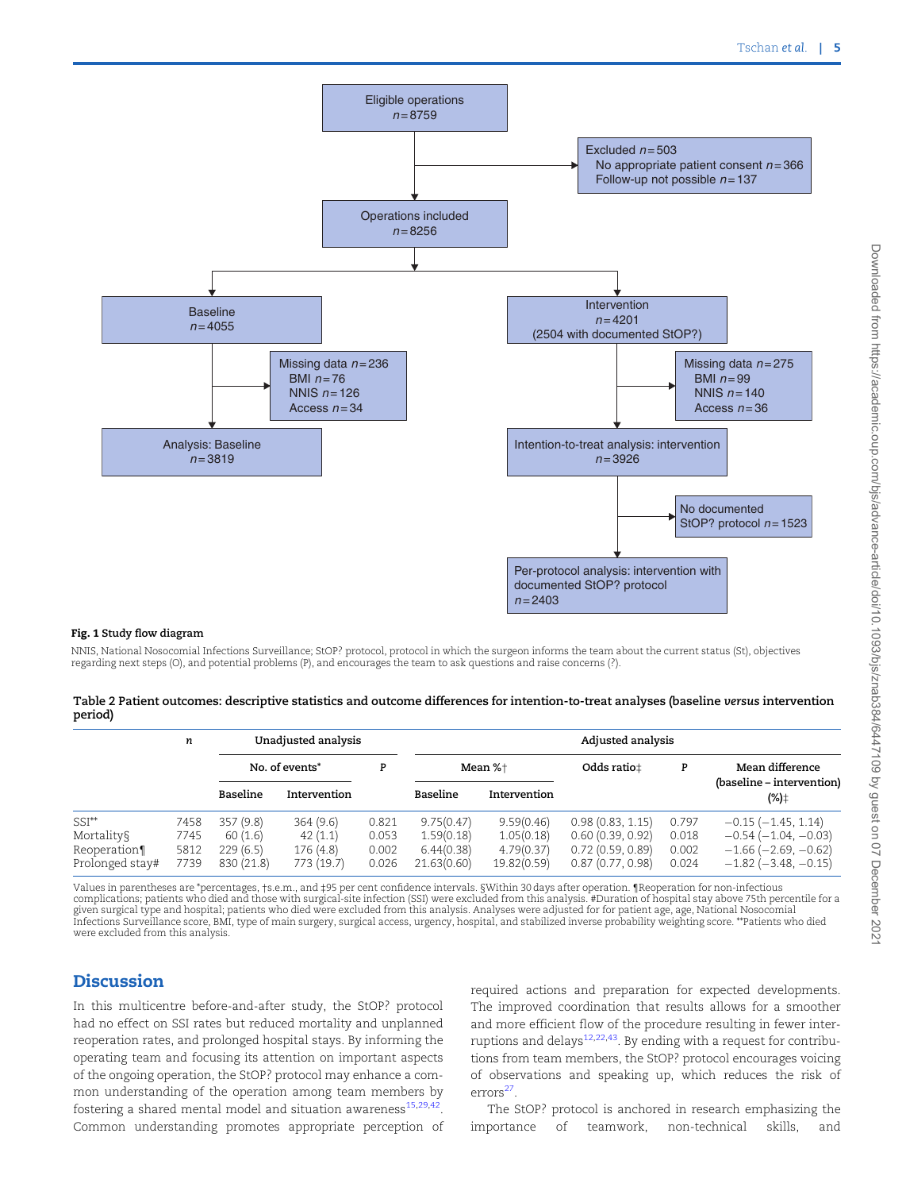<span id="page-4-0"></span>

#### Fig. 1 Study flow diagram

NNIS, National Nosocomial Infections Surveillance; StOP? protocol, protocol in which the surgeon informs the team about the current status (St), objectives regarding next steps (O), and potential problems (P), and encourages the team to ask questions and raise concerns (?).

|         | Table 2 Patient outcomes: descriptive statistics and outcome differences for intention-to-treat analyses (baseline versus intervention |  |  |  |
|---------|----------------------------------------------------------------------------------------------------------------------------------------|--|--|--|
| period) |                                                                                                                                        |  |  |  |

|                 | n    | Unadjusted analysis |              |       | Adjusted analysis |              |                  |       |                                   |  |
|-----------------|------|---------------------|--------------|-------|-------------------|--------------|------------------|-------|-----------------------------------|--|
|                 |      | No. of events*      |              | P     | Mean %+           |              | Odds ratio±      | P     | Mean difference                   |  |
|                 |      | Baseline            | Intervention |       | Baseline          | Intervention |                  |       | (baseline – intervention)<br>(%)‡ |  |
| $SSI^{**}$      | 7458 | 357(9.8)            | 364(9.6)     | 0.821 | 9.75(0.47)        | 9.59(0.46)   | 0.98(0.83, 1.15) | 0.797 | $-0.15$ $(-1.45, 1.14)$           |  |
| Mortality§      | 7745 | 60(1.6)             | 42(1.1)      | 0.053 | 1.59(0.18)        | 1.05(0.18)   | 0.60(0.39, 0.92) | 0.018 | $-0.54(-1.04, -0.03)$             |  |
| Reoperation¶    | 5812 | 229(6.5)            | 176(4.8)     | 0.002 | 6.44(0.38)        | 4.79(0.37)   | 0.72(0.59, 0.89) | 0.002 | $-1.66$ ( $-2.69$ , $-0.62$ )     |  |
| Prolonged stay# | 7739 | 830 (21.8)          | 773 (19.7)   | 0.026 | 21.63(0.60)       | 19.82(0.59)  | 0.87(0.77, 0.98) | 0.024 | $-1.82$ ( $-3.48$ , $-0.15$ )     |  |

Values in parentheses are \*percentages, †s.e.m., and ‡95 per cent confidence intervals. §Within 30 days after operation. ¶Reoperation for non-infectious complications; patients who died and those with surgical-site infection (SSI) were excluded from this analysis. #Duration of hospital stay above 75th percentile for a<br>given surgical type and hospital; patients who died wer were excluded from this analysis.

## Discussion

In this multicentre before-and-after study, the StOP? protocol had no effect on SSI rates but reduced mortality and unplanned reoperation rates, and prolonged hospital stays. By informing the operating team and focusing its attention on important aspects of the ongoing operation, the StOP? protocol may enhance a common understanding of the operation among team members by fostering a shared mental model and situation awareness $^{15,29,42}$  $^{15,29,42}$  $^{15,29,42}$  $^{15,29,42}$  $^{15,29,42}$  $^{15,29,42}$  $^{15,29,42}$ . Common understanding promotes appropriate perception of required actions and preparation for expected developments. The improved coordination that results allows for a smoother and more efficient flow of the procedure resulting in fewer interruptions and delays $12,22,43$  $12,22,43$  $12,22,43$ . By ending with a request for contributions from team members, the StOP? protocol encourages voicing of observations and speaking up, which reduces the risk of errors<sup>[27](#page-7-0)</sup>.

The StOP? protocol is anchored in research emphasizing the importance of teamwork, non-technical skills, and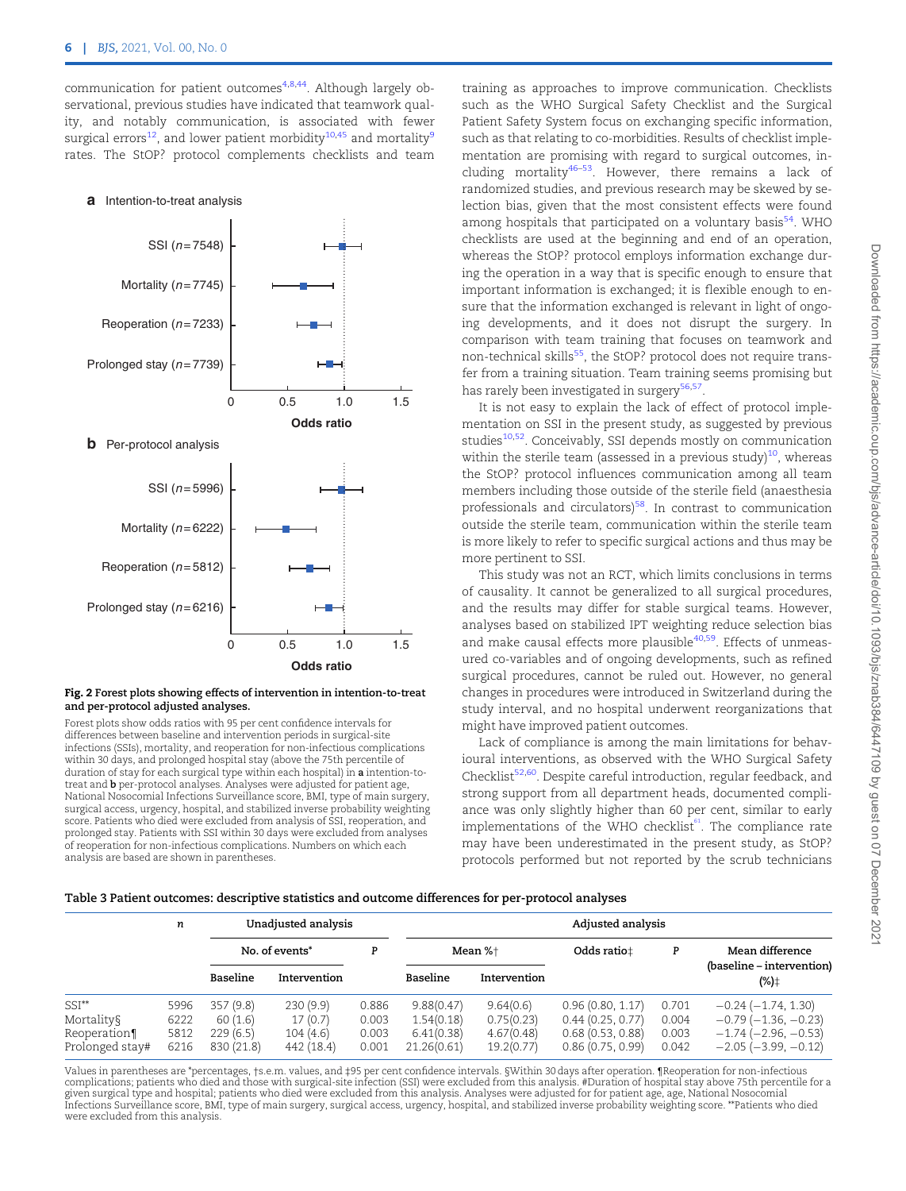<span id="page-5-0"></span>communication for patient outcomes<sup>[4,8,](#page-6-0)44</sup>. Although largely observational, previous studies have indicated that teamwork quality, and notably communication, is associated with fewer surgical errors<sup>[12](#page-6-0)</sup>, and lower patient morbidity<sup>[10](#page-6-0),[45](#page-7-0)</sup> and mortality<sup>[9](#page-6-0)</sup> rates. The StOP? protocol complements checklists and team

#### **a** Intention-to-treat analysis



#### Fig. 2 Forest plots showing effects of intervention in intention-to-treat and per-protocol adjusted analyses.

Forest plots show odds ratios with 95 per cent confidence intervals for differences between baseline and intervention periods in surgical-site infections (SSIs), mortality, and reoperation for non-infectious complications within 30 days, and prolonged hospital stay (above the 75th percentile of duration of stay for each surgical type within each hospital) in a intention-totreat and b per-protocol analyses. Analyses were adjusted for patient age, National Nosocomial Infections Surveillance score, BMI, type of main surgery, surgical access, urgency, hospital, and stabilized inverse probability weighting score. Patients who died were excluded from analysis of SSI, reoperation, and prolonged stay. Patients with SSI within 30 days were excluded from analyses of reoperation for non-infectious complications. Numbers on which each analysis are based are shown in parentheses.

training as approaches to improve communication. Checklists such as the WHO Surgical Safety Checklist and the Surgical Patient Safety System focus on exchanging specific information, such as that relating to co-morbidities. Results of checklist implementation are promising with regard to surgical outcomes, including mortality $46-53$  $46-53$  $46-53$ . However, there remains a lack of randomized studies, and previous research may be skewed by selection bias, given that the most consistent effects were found among hospitals that participated on a voluntary basis<sup>54</sup>. WHO checklists are used at the beginning and end of an operation, whereas the StOP? protocol employs information exchange during the operation in a way that is specific enough to ensure that important information is exchanged; it is flexible enough to ensure that the information exchanged is relevant in light of ongoing developments, and it does not disrupt the surgery. In comparison with team training that focuses on teamwork and non-technical skills<sup>55</sup>, the StOP? protocol does not require transfer from a training situation. Team training seems promising but has rarely been investigated in surgery<sup>[56,](#page-7-0)57</sup>.

It is not easy to explain the lack of effect of protocol implementation on SSI in the present study, as suggested by previous studies<sup>[10,](#page-6-0)52</sup>. Conceivably, SSI depends mostly on communication within the sterile team (assessed in a previous study) $10$ , whereas the StOP? protocol influences communication among all team members including those outside of the sterile field (anaesthesia professionals and circulators) $58$ . In contrast to communication outside the sterile team, communication within the sterile team is more likely to refer to specific surgical actions and thus may be more pertinent to SSI.

This study was not an RCT, which limits conclusions in terms of causality. It cannot be generalized to all surgical procedures, and the results may differ for stable surgical teams. However, analyses based on stabilized IPT weighting reduce selection bias and make causal effects more plausible<sup>[40](#page-7-0)[,59](#page-8-0)</sup>. Effects of unmeasured co-variables and of ongoing developments, such as refined surgical procedures, cannot be ruled out. However, no general changes in procedures were introduced in Switzerland during the study interval, and no hospital underwent reorganizations that might have improved patient outcomes.

Lack of compliance is among the main limitations for behavioural interventions, as observed with the WHO Surgical Safety Checklist<sup>[52,](#page-7-0)60</sup>. Despite careful introduction, regular feedback, and strong support from all department heads, documented compliance was only slightly higher than 60 per cent, similar to early implementations of the WHO checklist<sup>61</sup>. The compliance rate may have been underestimated in the present study, as StOP? protocols performed but not reported by the scrub technicians

#### Table 3 Patient outcomes: descriptive statistics and outcome differences for per-protocol analyses

|                                 | n            | Unadjusted analysis    |                        |                | Adjusted analysis         |                          |                                      |                |                                                        |  |
|---------------------------------|--------------|------------------------|------------------------|----------------|---------------------------|--------------------------|--------------------------------------|----------------|--------------------------------------------------------|--|
|                                 |              |                        | No. of events*         | P              | Mean %+                   |                          | Odds ratio±                          | P              | Mean difference                                        |  |
|                                 |              | Baseline               | Intervention           |                | Baseline                  | Intervention             |                                      |                | (baseline - intervention)<br>$(\%)^{\pm}$              |  |
| $SSI**$                         | 5996         | 357(9.8)               | 230(9.9)               | 0.886          | 9.88(0.47)                | 9.64(0.6)                | 0.96(0.80, 1.17)                     | 0.701          | $-0.24(-1.74, 1.30)$                                   |  |
| Mortality§                      | 6222         | 60(1.6)                | 17(0.7)                | 0.003          | 1.54(0.18)                | 0.75(0.23)               | 0.44(0.25, 0.77)                     | 0.004          | $-0.79(-1.36, -0.23)$                                  |  |
| Reoperation¶<br>Prolonged stay# | 5812<br>6216 | 229(6.5)<br>830 (21.8) | 104(4.6)<br>442 (18.4) | 0.003<br>0.001 | 6.41(0.38)<br>21.26(0.61) | 4.67(0.48)<br>19.2(0.77) | 0.68(0.53, 0.88)<br>0.86(0.75, 0.99) | 0.003<br>0.042 | $-1.74(-2.96, -0.53)$<br>$-2.05$ ( $-3.99$ , $-0.12$ ) |  |

Values in parentheses are \*percentages, †s.e.m. values, and ‡95 per cent confidence intervals. §Within 30 days after operation. ¶Reoperation for non-infectious complications; patients who died and those with surgical-site infection (SSI) were excluded from this analysis. #Duration of hospital stay above 75th percentile for a given surgical type and hospital; patients who died were excluded from this analysis. Analyses were adjusted for for patient age, age, National Nosocomial Infections Surveillance score, BMI, type of main surgery, surgical access, urgency, hospital, and stabilized inverse probability weighting score. \*\*Patients who died were excluded from this analysis.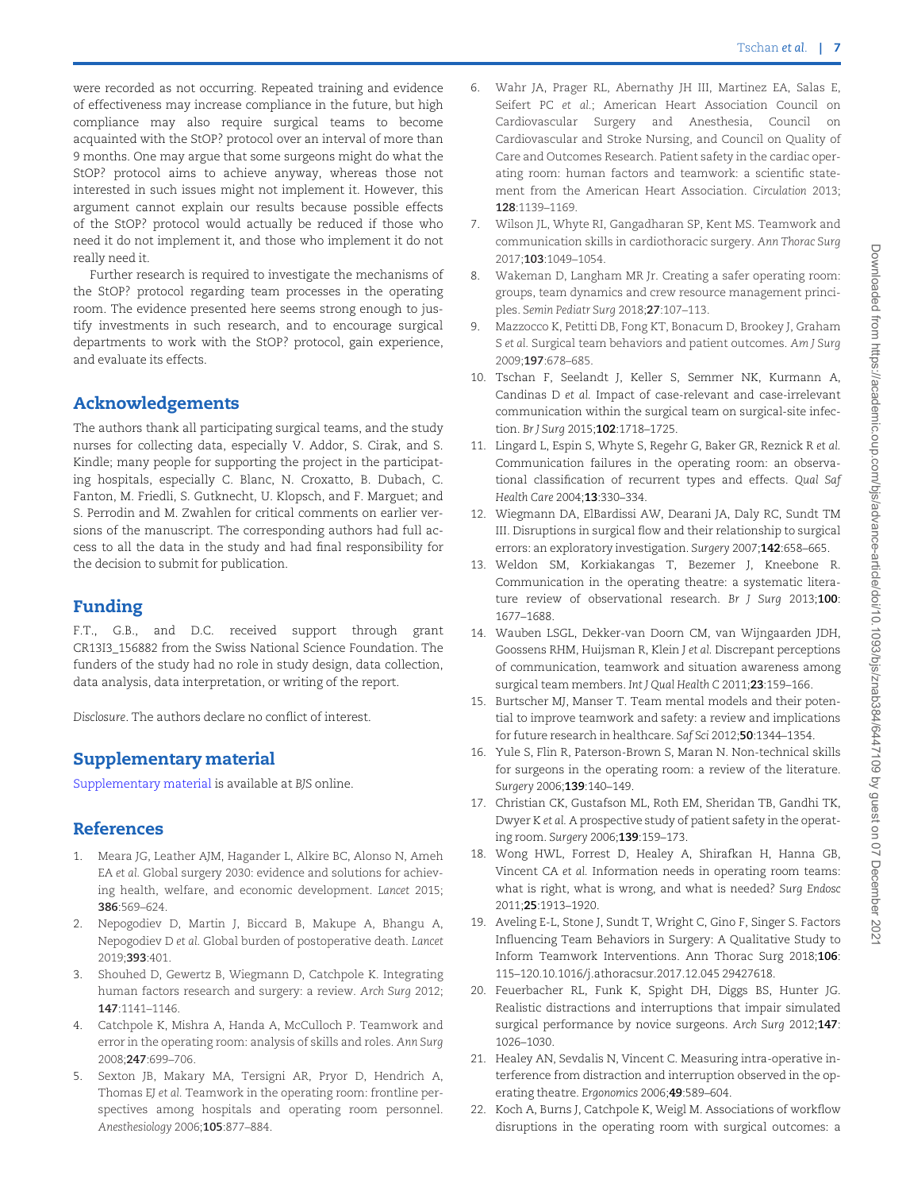<span id="page-6-0"></span>were recorded as not occurring. Repeated training and evidence of effectiveness may increase compliance in the future, but high compliance may also require surgical teams to become acquainted with the StOP? protocol over an interval of more than 9 months. One may argue that some surgeons might do what the StOP? protocol aims to achieve anyway, whereas those not interested in such issues might not implement it. However, this argument cannot explain our results because possible effects of the StOP? protocol would actually be reduced if those who need it do not implement it, and those who implement it do not really need it.

Further research is required to investigate the mechanisms of the StOP? protocol regarding team processes in the operating room. The evidence presented here seems strong enough to justify investments in such research, and to encourage surgical departments to work with the StOP? protocol, gain experience, and evaluate its effects.

# Acknowledgements

The authors thank all participating surgical teams, and the study nurses for collecting data, especially V. Addor, S. Cirak, and S. Kindle; many people for supporting the project in the participating hospitals, especially C. Blanc, N. Croxatto, B. Dubach, C. Fanton, M. Friedli, S. Gutknecht, U. Klopsch, and F. Marguet; and S. Perrodin and M. Zwahlen for critical comments on earlier versions of the manuscript. The corresponding authors had full access to all the data in the study and had final responsibility for the decision to submit for publication.

# Funding

F.T., G.B., and D.C. received support through grant CR13I3\_156882 from the Swiss National Science Foundation. The funders of the study had no role in study design, data collection, data analysis, data interpretation, or writing of the report.

Disclosure. The authors declare no conflict of interest.

# Supplementary material

[Supplementary material](academic.oup.com/bjs/article-lookup/doi/10.1093/bjs/znab384#supplementary-data) is available at BJS online.

# References

- [1](#page-1-0). Meara JG, Leather AJM, Hagander L, Alkire BC, Alonso N, Ameh EA et al. Global surgery 2030: evidence and solutions for achieving health, welfare, and economic development. Lancet 2015; 386:569–624.
- [2](#page-1-0). Nepogodiev D, Martin J, Biccard B, Makupe A, Bhangu A, Nepogodiev D et al. Global burden of postoperative death. Lancet 2019;393:401.
- 3. Shouhed D, Gewertz B, Wiegmann D, Catchpole K. Integrating human factors research and surgery: a review. Arch Surg 2012; 147:1141–1146.
- [4](#page-5-0). Catchpole K, Mishra A, Handa A, McCulloch P. Teamwork and error in the operating room: analysis of skills and roles. Ann Surg 2008;247:699–706.
- 5. Sexton JB, Makary MA, Tersigni AR, Pryor D, Hendrich A, Thomas EJ et al. Teamwork in the operating room: frontline perspectives among hospitals and operating room personnel. Anesthesiology 2006;105:877–884.
- 6. Wahr JA, Prager RL, Abernathy JH III, Martinez EA, Salas E, Seifert PC et al.; American Heart Association Council on Cardiovascular Surgery and Anesthesia, Council on Cardiovascular and Stroke Nursing, and Council on Quality of Care and Outcomes Research. Patient safety in the cardiac operating room: human factors and teamwork: a scientific statement from the American Heart Association. Circulation 2013; 128:1139–1169.
- 7. Wilson JL, Whyte RI, Gangadharan SP, Kent MS. Teamwork and communication skills in cardiothoracic surgery. Ann Thorac Surg 2017;103:1049–1054.
- [8.](#page-5-0) Wakeman D, Langham MR Jr. Creating a safer operating room: groups, team dynamics and crew resource management principles. Semin Pediatr Surg 2018;27:107–113.
- [9.](#page-5-0) Mazzocco K, Petitti DB, Fong KT, Bonacum D, Brookey J, Graham S et al. Surgical team behaviors and patient outcomes. Am J Surg 2009;197:678–685.
- [10.](#page-2-0) Tschan F, Seelandt J, Keller S, Semmer NK, Kurmann A, Candinas D et al. Impact of case-relevant and case-irrelevant communication within the surgical team on surgical-site infection. Br J Surg 2015;102:1718–1725.
- [11.](#page-1-0) Lingard L, Espin S, Whyte S, Regehr G, Baker GR, Reznick R et al. Communication failures in the operating room: an observational classification of recurrent types and effects. Qual Saf Health Care 2004;13:330–334.
- [12.](#page-4-0) Wiegmann DA, ElBardissi AW, Dearani JA, Daly RC, Sundt TM III. Disruptions in surgical flow and their relationship to surgical errors: an exploratory investigation. Surgery 2007;142:658-665.
- 13. Weldon SM, Korkiakangas T, Bezemer J, Kneebone R. Communication in the operating theatre: a systematic literature review of observational research. Br J Surg 2013;100: 1677–1688.
- [14.](#page-1-0) Wauben LSGL, Dekker-van Doorn CM, van Wijngaarden JDH, Goossens RHM, Huijsman R, Klein J et al. Discrepant perceptions of communication, teamwork and situation awareness among surgical team members. Int J Qual Health C 2011;23:159-166.
- [15.](#page-1-0) Burtscher MJ, Manser T. Team mental models and their potential to improve teamwork and safety: a review and implications for future research in healthcare. Saf Sci 2012;50:1344–1354.
- [16.](#page-1-0) Yule S, Flin R, Paterson-Brown S, Maran N. Non-technical skills for surgeons in the operating room: a review of the literature. Surgery 2006;139:140–149.
- [17.](#page-1-0) Christian CK, Gustafson ML, Roth EM, Sheridan TB, Gandhi TK, Dwyer K et al. A prospective study of patient safety in the operating room. Surgery 2006;139:159–173.
- [18.](#page-1-0) Wong HWL, Forrest D, Healey A, Shirafkan H, Hanna GB, Vincent CA et al. Information needs in operating room teams: what is right, what is wrong, and what is needed? Surg Endosc 2011;25:1913–1920.
- [19.](#page-1-0) Aveling E-L, Stone J, Sundt T, Wright C, Gino F, Singer S. Factors Influencing Team Behaviors in Surgery: A Qualitative Study to Inform Teamwork Interventions. Ann Thorac Surg 2018;106: 115–120.10.1016/j.athoracsur.2017.12.045 29427618.
- 20. Feuerbacher RL, Funk K, Spight DH, Diggs BS, Hunter JG. Realistic distractions and interruptions that impair simulated surgical performance by novice surgeons. Arch Surg 2012;147: 1026–1030.
- 21. Healey AN, Sevdalis N, Vincent C. Measuring intra-operative interference from distraction and interruption observed in the operating theatre. Ergonomics 2006;49:589–604.
- [22.](#page-1-0) Koch A, Burns J, Catchpole K, Weigl M. Associations of workflow disruptions in the operating room with surgical outcomes: a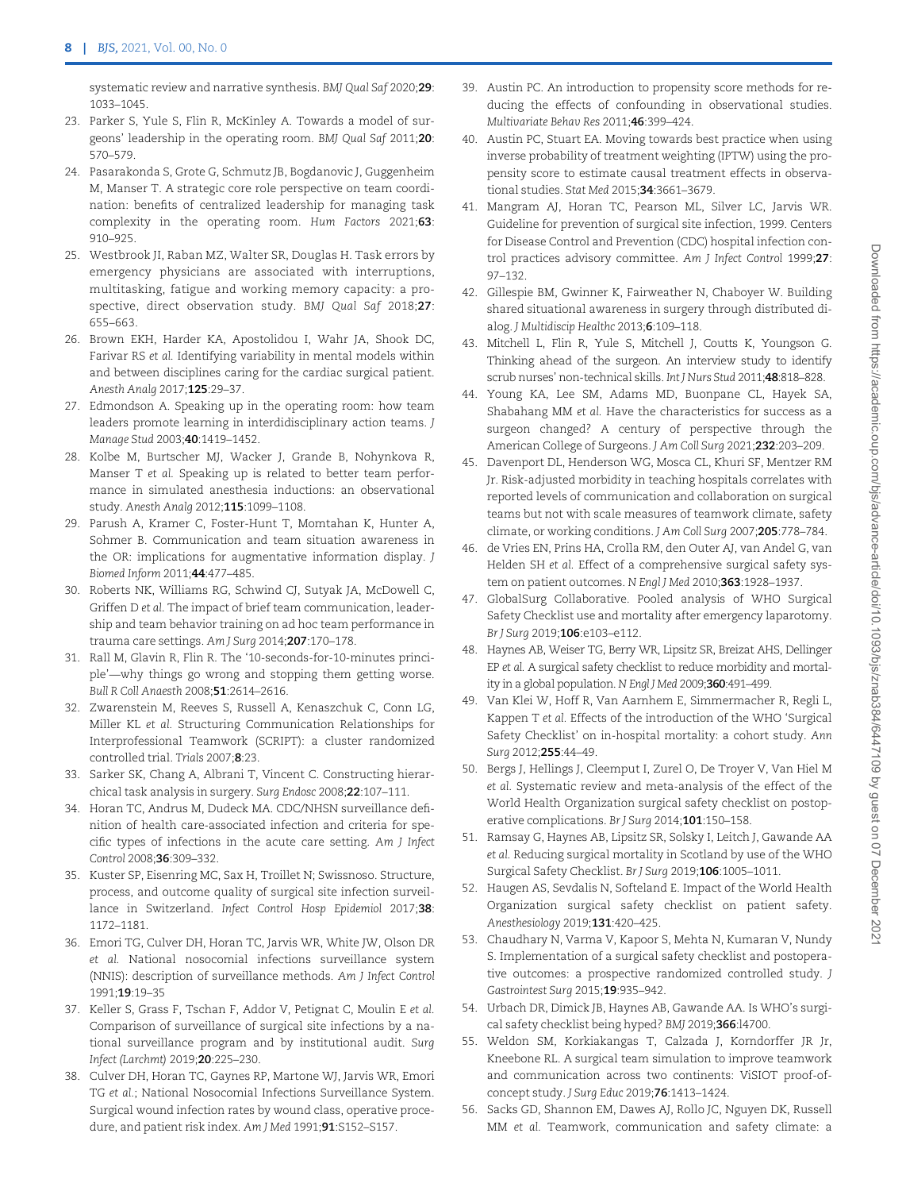<span id="page-7-0"></span>systematic review and narrative synthesis. BMJ Qual Saf 2020;29: 1033–1045.

- [23.](#page-1-0) Parker S, Yule S, Flin R, McKinley A. Towards a model of surgeons' leadership in the operating room. BMJ Qual Saf 2011;20: 570–579.
- [24.](#page-1-0) Pasarakonda S, Grote G, Schmutz JB, Bogdanovic J, Guggenheim M, Manser T. A strategic core role perspective on team coordination: benefits of centralized leadership for managing task complexity in the operating room. Hum Factors 2021;63: 910–925.
- [25.](#page-1-0) Westbrook JI, Raban MZ, Walter SR, Douglas H. Task errors by emergency physicians are associated with interruptions, multitasking, fatigue and working memory capacity: a prospective, direct observation study. BMJ Qual Saf 2018;27: 655–663.
- [26.](#page-1-0) Brown EKH, Harder KA, Apostolidou I, Wahr JA, Shook DC, Farivar RS et al. Identifying variability in mental models within and between disciplines caring for the cardiac surgical patient. Anesth Analg 2017;125:29–37.
- [27.](#page-1-0) Edmondson A. Speaking up in the operating room: how team leaders promote learning in interdidisciplinary action teams. J Manage Stud 2003;40:1419–1452.
- [28.](#page-1-0) Kolbe M, Burtscher MJ, Wacker J, Grande B, Nohynkova R, Manser T et al. Speaking up is related to better team performance in simulated anesthesia inductions: an observational study. Anesth Analg 2012;115:1099–1108.
- [29.](#page-1-0) Parush A, Kramer C, Foster-Hunt T, Momtahan K, Hunter A, Sohmer B. Communication and team situation awareness in the OR: implications for augmentative information display. J Biomed Inform 2011;44:477–485.
- 30. Roberts NK, Williams RG, Schwind CJ, Sutyak JA, McDowell C, Griffen D et al. The impact of brief team communication, leadership and team behavior training on ad hoc team performance in trauma care settings. Am J Surg 2014;207:170–178.
- 31. Rall M, Glavin R, Flin R. The '10-seconds-for-10-minutes principle'—why things go wrong and stopping them getting worse. Bull R Coll Anaesth 2008;51:2614–2616.
- 32. Zwarenstein M, Reeves S, Russell A, Kenaszchuk C, Conn LG, Miller KL et al. Structuring Communication Relationships for Interprofessional Teamwork (SCRIPT): a cluster randomized controlled trial. Trials 2007;8:23.
- [33.](#page-1-0) Sarker SK, Chang A, Albrani T, Vincent C. Constructing hierarchical task analysis in surgery. Surg Endosc 2008;22:107–111.
- [34.](#page-2-0) Horan TC, Andrus M, Dudeck MA. CDC/NHSN surveillance definition of health care-associated infection and criteria for specific types of infections in the acute care setting. Am J Infect Control 2008;36:309–332.
- [35.](#page-2-0) Kuster SP, Eisenring MC, Sax H, Troillet N; Swissnoso. Structure, process, and outcome quality of surgical site infection surveillance in Switzerland. Infect Control Hosp Epidemiol 2017;38: 1172–1181.
- [36.](#page-2-0) Emori TG, Culver DH, Horan TC, Jarvis WR, White JW, Olson DR et al. National nosocomial infections surveillance system (NNIS): description of surveillance methods. Am J Infect Control 1991;19:19–35
- [37.](#page-2-0) Keller S, Grass F, Tschan F, Addor V, Petignat C, Moulin E et al. Comparison of surveillance of surgical site infections by a national surveillance program and by institutional audit. Surg Infect (Larchmt) 2019;20:225–230.
- [38.](#page-3-0) Culver DH, Horan TC, Gaynes RP, Martone WJ, Jarvis WR, Emori TG et al.; National Nosocomial Infections Surveillance System. Surgical wound infection rates by wound class, operative procedure, and patient risk index. Am J Med 1991;91:S152-S157.
- [39](#page-3-0). Austin PC. An introduction to propensity score methods for reducing the effects of confounding in observational studies. Multivariate Behav Res 2011;46:399–424.
- [40](#page-3-0). Austin PC, Stuart EA. Moving towards best practice when using inverse probability of treatment weighting (IPTW) using the propensity score to estimate causal treatment effects in observational studies. Stat Med 2015;34:3661–3679.
- [41](#page-3-0). Mangram AJ, Horan TC, Pearson ML, Silver LC, Jarvis WR. Guideline for prevention of surgical site infection, 1999. Centers for Disease Control and Prevention (CDC) hospital infection control practices advisory committee. Am J Infect Control 1999;27: 97–132.
- [42](#page-4-0). Gillespie BM, Gwinner K, Fairweather N, Chaboyer W. Building shared situational awareness in surgery through distributed dialog. J Multidiscip Healthc 2013;6:109-118.
- [43](#page-4-0). Mitchell L, Flin R, Yule S, Mitchell J, Coutts K, Youngson G. Thinking ahead of the surgeon. An interview study to identify scrub nurses' non-technical skills. Int J Nurs Stud 2011;48:818–828.
- [44](#page-5-0). Young KA, Lee SM, Adams MD, Buonpane CL, Hayek SA, Shabahang MM et al. Have the characteristics for success as a surgeon changed? A century of perspective through the American College of Surgeons. J Am Coll Surg 2021;232:203–209.
- [45](#page-5-0). Davenport DL, Henderson WG, Mosca CL, Khuri SF, Mentzer RM Jr. Risk-adjusted morbidity in teaching hospitals correlates with reported levels of communication and collaboration on surgical teams but not with scale measures of teamwork climate, safety climate, or working conditions. J Am Coll Surg 2007;205:778–784.
- 46. de Vries EN, Prins HA, Crolla RM, den Outer AJ, van Andel G, van Helden SH et al. Effect of a comprehensive surgical safety system on patient outcomes. N Engl J Med 2010;363:1928-1937.
- 47. GlobalSurg Collaborative. Pooled analysis of WHO Surgical Safety Checklist use and mortality after emergency laparotomy. Br J Surg 2019;106:e103–e112.
- 48. Haynes AB, Weiser TG, Berry WR, Lipsitz SR, Breizat AHS, Dellinger EP et al. A surgical safety checklist to reduce morbidity and mortality in a global population. N Engl J Med 2009;360:491-499.
- 49. Van Klei W, Hoff R, Van Aarnhem E, Simmermacher R, Regli L, Kappen T et al. Effects of the introduction of the WHO 'Surgical Safety Checklist' on in-hospital mortality: a cohort study. Ann Surg 2012;255:44–49.
- 50. Bergs J, Hellings J, Cleemput I, Zurel O, De Troyer V, Van Hiel M et al. Systematic review and meta-analysis of the effect of the World Health Organization surgical safety checklist on postoperative complications. Br J Surg 2014;101:150-158.
- 51. Ramsay G, Haynes AB, Lipsitz SR, Solsky I, Leitch J, Gawande AA et al. Reducing surgical mortality in Scotland by use of the WHO Surgical Safety Checklist. Br J Surg 2019;106:1005–1011.
- [52](#page-5-0). Haugen AS, Sevdalis N, Softeland E. Impact of the World Health Organization surgical safety checklist on patient safety. Anesthesiology 2019;131:420–425.
- 53. Chaudhary N, Varma V, Kapoor S, Mehta N, Kumaran V, Nundy S. Implementation of a surgical safety checklist and postoperative outcomes: a prospective randomized controlled study. J Gastrointest Surg 2015;19:935–942.
- [54](#page-5-0). Urbach DR, Dimick JB, Haynes AB, Gawande AA. Is WHO's surgical safety checklist being hyped? BMJ 2019;366:l4700.
- [55](#page-5-0). Weldon SM, Korkiakangas T, Calzada J, Korndorffer JR Jr, Kneebone RL. A surgical team simulation to improve teamwork and communication across two continents: ViSIOT proof-ofconcept study. J Surg Educ 2019;76:1413–1424.
- [56](#page-5-0). Sacks GD, Shannon EM, Dawes AJ, Rollo JC, Nguyen DK, Russell MM et al. Teamwork, communication and safety climate: a